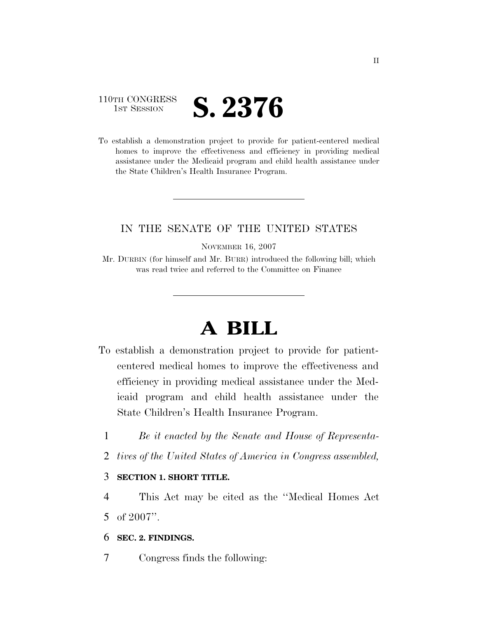## 110TH CONGRESS **IST SESSION S. 2376**

To establish a demonstration project to provide for patient-centered medical homes to improve the effectiveness and efficiency in providing medical assistance under the Medicaid program and child health assistance under the State Children's Health Insurance Program.

### IN THE SENATE OF THE UNITED STATES

NOVEMBER 16, 2007

Mr. DURBIN (for himself and Mr. BURR) introduced the following bill; which was read twice and referred to the Committee on Finance

# **A BILL**

- To establish a demonstration project to provide for patientcentered medical homes to improve the effectiveness and efficiency in providing medical assistance under the Medicaid program and child health assistance under the State Children's Health Insurance Program.
	- 1 *Be it enacted by the Senate and House of Representa-*
	- 2 *tives of the United States of America in Congress assembled,*

### 3 **SECTION 1. SHORT TITLE.**

4 This Act may be cited as the ''Medical Homes Act 5 of 2007''.

#### 6 **SEC. 2. FINDINGS.**

7 Congress finds the following: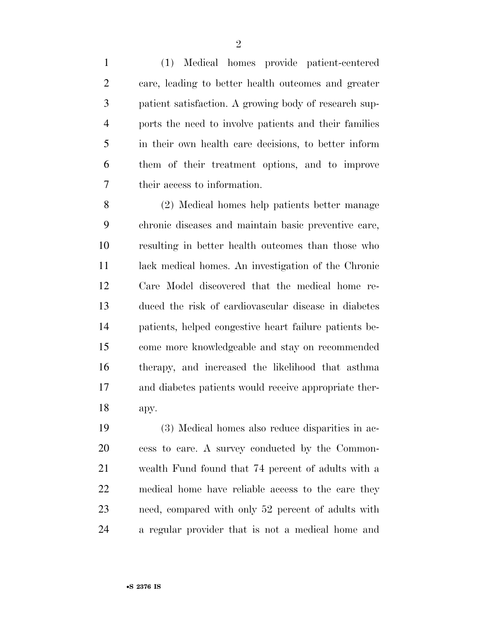(1) Medical homes provide patient-centered care, leading to better health outcomes and greater patient satisfaction. A growing body of research sup- ports the need to involve patients and their families in their own health care decisions, to better inform them of their treatment options, and to improve their access to information.

 (2) Medical homes help patients better manage chronic diseases and maintain basic preventive care, resulting in better health outcomes than those who lack medical homes. An investigation of the Chronic Care Model discovered that the medical home re- duced the risk of cardiovascular disease in diabetes patients, helped congestive heart failure patients be- come more knowledgeable and stay on recommended therapy, and increased the likelihood that asthma and diabetes patients would receive appropriate ther-apy.

 (3) Medical homes also reduce disparities in ac- cess to care. A survey conducted by the Common- wealth Fund found that 74 percent of adults with a medical home have reliable access to the care they need, compared with only 52 percent of adults with a regular provider that is not a medical home and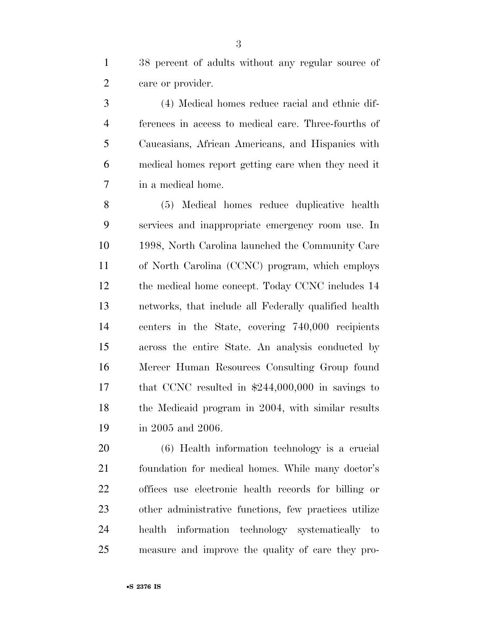38 percent of adults without any regular source of care or provider.

 (4) Medical homes reduce racial and ethnic dif- ferences in access to medical care. Three-fourths of Caucasians, African Americans, and Hispanics with medical homes report getting care when they need it in a medical home.

 (5) Medical homes reduce duplicative health services and inappropriate emergency room use. In 1998, North Carolina launched the Community Care of North Carolina (CCNC) program, which employs 12 the medical home concept. Today CCNC includes 14 networks, that include all Federally qualified health centers in the State, covering 740,000 recipients across the entire State. An analysis conducted by Mercer Human Resources Consulting Group found that CCNC resulted in \$244,000,000 in savings to 18 the Medicaid program in 2004, with similar results in 2005 and 2006.

 (6) Health information technology is a crucial foundation for medical homes. While many doctor's offices use electronic health records for billing or other administrative functions, few practices utilize health information technology systematically to measure and improve the quality of care they pro-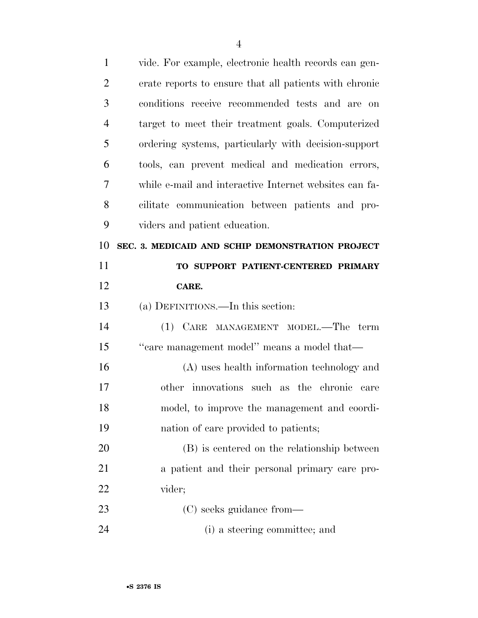| $\mathbf{1}$   | vide. For example, electronic health records can gen-  |
|----------------|--------------------------------------------------------|
| $\overline{2}$ | erate reports to ensure that all patients with chronic |
| 3              | conditions receive recommended tests and are on        |
| $\overline{4}$ | target to meet their treatment goals. Computerized     |
| 5              | ordering systems, particularly with decision-support   |
| 6              | tools, can prevent medical and medication errors,      |
| 7              | while e-mail and interactive Internet websites can fa- |
| 8              | cilitate communication between patients and pro-       |
| 9              | viders and patient education.                          |
| 10             | SEC. 3. MEDICAID AND SCHIP DEMONSTRATION PROJECT       |
| 11             | TO SUPPORT PATIENT-CENTERED PRIMARY                    |
| 12             | CARE.                                                  |
|                |                                                        |
| 13             | (a) DEFINITIONS.—In this section:                      |
| 14             | (1) CARE MANAGEMENT MODEL.—The<br>term                 |
| 15             | "care management model" means a model that-            |
| 16             | (A) uses health information technology and             |
| 17             | other innovations such as the chronic care             |
| 18             | model, to improve the management and coordi-           |
| 19             | nation of care provided to patients;                   |
| 20             | (B) is centered on the relationship between            |
| 21             | a patient and their personal primary care pro-         |
| 22             | vider;                                                 |
| 23             | (C) seeks guidance from—                               |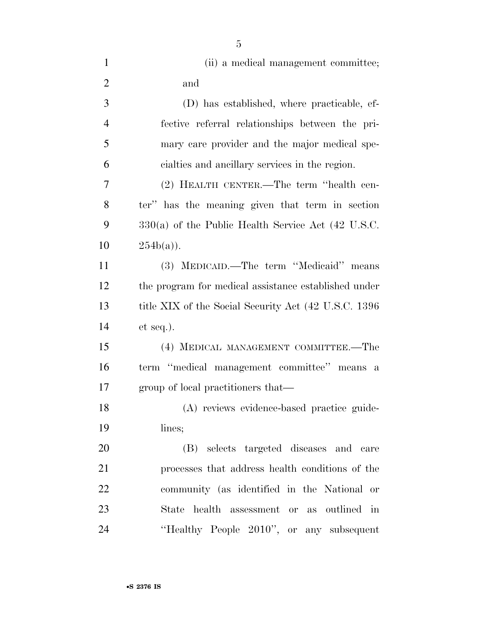| $\mathbf{1}$   | (ii) a medical management committee;                  |
|----------------|-------------------------------------------------------|
| $\overline{2}$ | and                                                   |
| 3              | (D) has established, where practicable, ef-           |
| $\overline{4}$ | fective referral relationships between the pri-       |
| 5              | mary care provider and the major medical spe-         |
| 6              | cialties and ancillary services in the region.        |
| $\overline{7}$ | (2) HEALTH CENTER.—The term "health cen-              |
| 8              | ter" has the meaning given that term in section       |
| 9              | $330(a)$ of the Public Health Service Act (42 U.S.C.  |
| 10             | $254b(a)$ ).                                          |
| 11             | (3) MEDICAID.—The term "Medicaid" means               |
| 12             | the program for medical assistance established under  |
| 13             | title XIX of the Social Security Act (42 U.S.C. 1396) |
| 14             | $et seq.$ ).                                          |
| 15             | (4) MEDICAL MANAGEMENT COMMITTEE.—The                 |
| 16             | term "medical management committee" means a           |
| 17             | group of local practitioners that—                    |
| 18             | (A) reviews evidence-based practice guide-            |
| 19             | lines;                                                |
| <b>20</b>      | (B) selects targeted diseases and care                |
| 21             | processes that address health conditions of the       |
| 22             | community (as identified in the National or           |
| 23             | State health assessment or as outlined<br>$\cdot$ in  |
| 24             | "Healthy People 2010", or any subsequent              |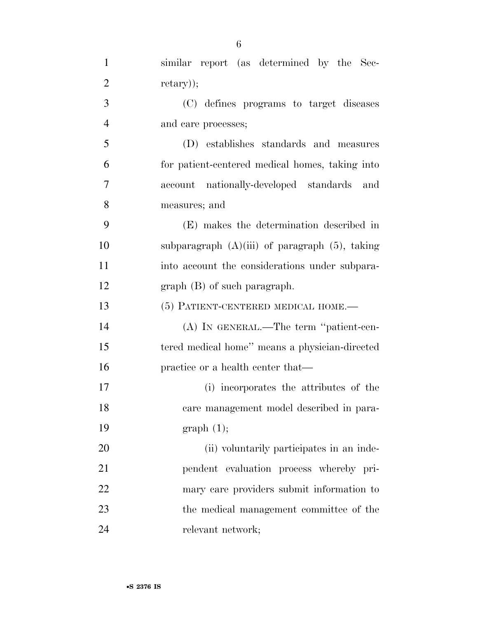| $\mathbf{1}$   | similar report (as determined by the Sec-           |
|----------------|-----------------------------------------------------|
| $\overline{2}$ | $retary$ $);$                                       |
| 3              | (C) defines programs to target diseases             |
| $\overline{4}$ | and care processes;                                 |
| 5              | (D) establishes standards and measures              |
| 6              | for patient-centered medical homes, taking into     |
| 7              | account nationally-developed standards and          |
| 8              | measures; and                                       |
| 9              | (E) makes the determination described in            |
| 10             | subparagraph $(A)(iii)$ of paragraph $(5)$ , taking |
| 11             | into account the considerations under subpara-      |
| 12             | $graph(B)$ of such paragraph.                       |
| 13             | (5) PATIENT-CENTERED MEDICAL HOME.-                 |
| 14             | (A) IN GENERAL.—The term "patient-cen-              |
| 15             | tered medical home" means a physician-directed      |
| 16             | practice or a health center that—                   |
| 17             | (i) incorporates the attributes of the              |
| 18             | care management model described in para-            |
| 19             | graph(1);                                           |
| 20             | (ii) voluntarily participates in an inde-           |
| 21             | pendent evaluation process whereby pri-             |
| 22             | mary care providers submit information to           |
| 23             | the medical management committee of the             |
| 24             | relevant network;                                   |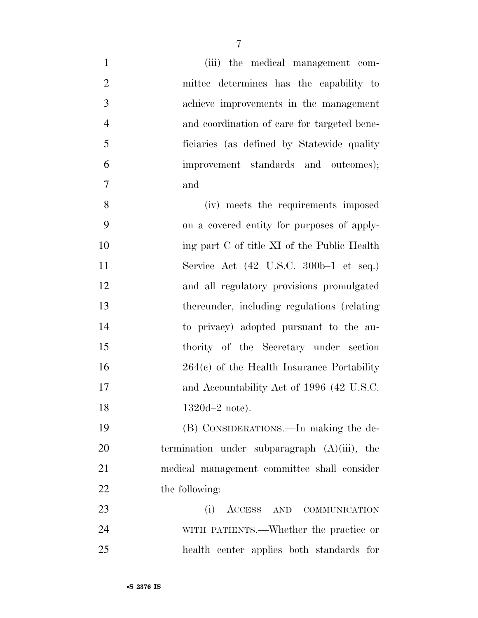| $\mathbf{1}$   | (iii) the medical management com-                         |
|----------------|-----------------------------------------------------------|
| $\mathbf{2}$   | mittee determines has the capability to                   |
| 3              | achieve improvements in the management                    |
| $\overline{4}$ | and coordination of care for targeted bene-               |
| 5              | ficiaries (as defined by Statewide quality                |
| 6              | improvement standards and outcomes);                      |
| 7              | and                                                       |
| 8              | (iv) meets the requirements imposed                       |
| 9              | on a covered entity for purposes of apply-                |
| 10             | ing part C of title XI of the Public Health               |
| 11             | Service Act $(42 \text{ U.S.C. } 300b-1 \text{ et seq.})$ |
| 12             | and all regulatory provisions promulgated                 |
| 13             | thereunder, including regulations (relating               |
| 14             | to privacy) adopted pursuant to the au-                   |
| 15             | thority of the Secretary under section                    |
| 16             | $264(e)$ of the Health Insurance Portability              |
| 17             | and Accountability Act of 1996 (42 U.S.C.                 |
| 18             | $1320d - 2$ note).                                        |
| 19             | (B) CONSIDERATIONS.—In making the de-                     |
| 20             | termination under subparagraph $(A)(iii)$ , the           |
| 21             | medical management committee shall consider               |
| 22             | the following:                                            |
| 23             | (i)<br>ACCESS AND COMMUNICATION                           |
| 24             | WITH PATIENTS.—Whether the practice or                    |
| 25             | health center applies both standards for                  |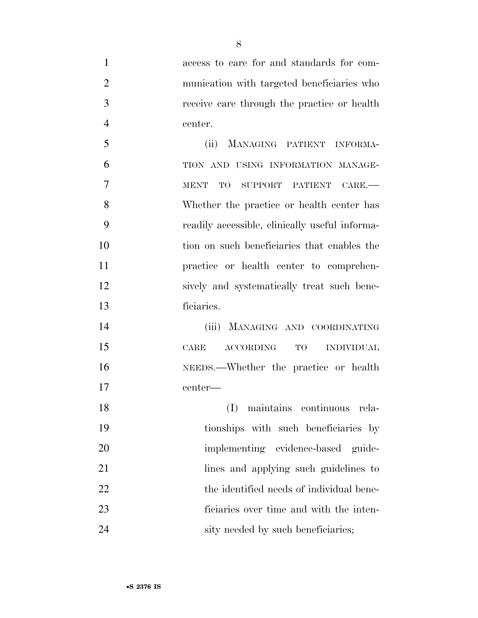access to care for and standards for com- munication with targeted beneficiaries who receive care through the practice or health center. (ii) MANAGING PATIENT INFORMA- TION AND USING INFORMATION MANAGE- MENT TO SUPPORT PATIENT CARE.— Whether the practice or health center has readily accessible, clinically useful informa- tion on such beneficiaries that enables the practice or health center to comprehen- sively and systematically treat such bene- ficiaries. (iii) MANAGING AND COORDINATING CARE ACCORDING TO INDIVIDUAL NEEDS.—Whether the practice or health center— (I) maintains continuous rela- tionships with such beneficiaries by 20 implementing evidence-based guide- lines and applying such guidelines to 22 the identified needs of individual bene- ficiaries over time and with the inten-24 sity needed by such beneficiaries;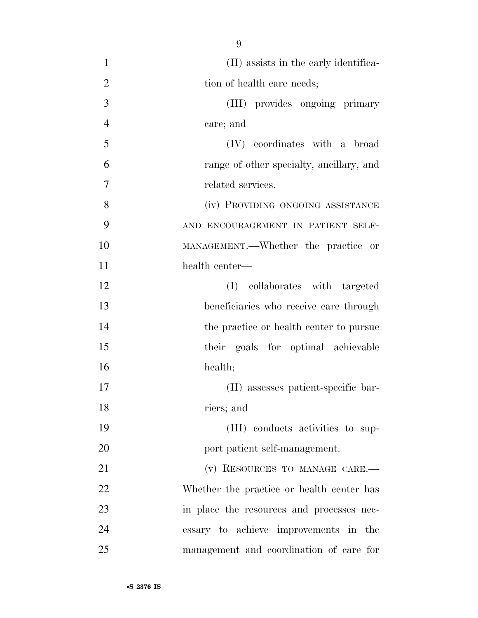(II) assists in the early identifica-2 tion of health care needs; (III) provides ongoing primary care; and (IV) coordinates with a broad range of other specialty, ancillary, and related services. 8 (iv) PROVIDING ONGOING ASSISTANCE AND ENCOURAGEMENT IN PATIENT SELF- MANAGEMENT.—Whether the practice or health center— (I) collaborates with targeted beneficiaries who receive care through 14 the practice or health center to pursue their goals for optimal achievable health; (II) assesses patient-specific bar- riers; and (III) conducts activities to sup-20 port patient self-management. 21 (v) RESOURCES TO MANAGE CARE.— Whether the practice or health center has 23 in place the resources and processes nec- essary to achieve improvements in the management and coordination of care for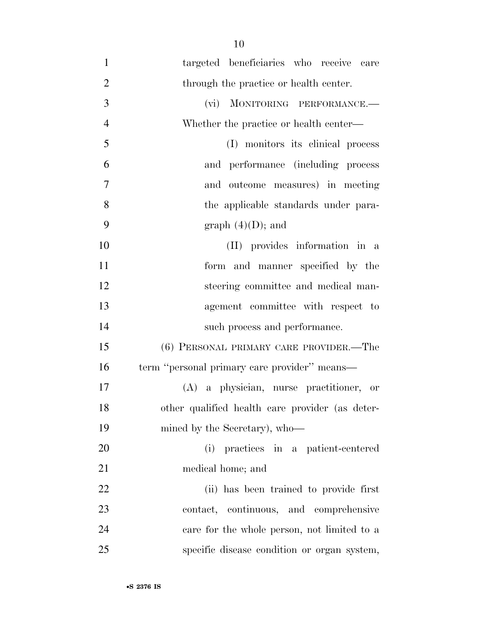targeted beneficiaries who receive care 2 through the practice or health center. (vi) MONITORING PERFORMANCE.— Whether the practice or health center— (I) monitors its clinical process and performance (including process and outcome measures) in meeting 8 the applicable standards under para-9 graph  $(4)(D)$ ; and (II) provides information in a form and manner specified by the steering committee and medical man- agement committee with respect to such process and performance. (6) PERSONAL PRIMARY CARE PROVIDER.—The term ''personal primary care provider'' means— (A) a physician, nurse practitioner, or other qualified health care provider (as deter-19 mined by the Secretary), who— (i) practices in a patient-centered medical home; and (ii) has been trained to provide first contact, continuous, and comprehensive care for the whole person, not limited to a specific disease condition or organ system,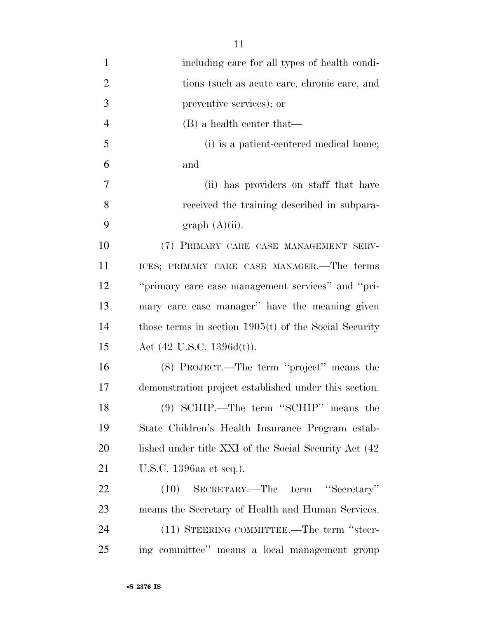| $\mathbf{1}$   | including care for all types of health condi-           |
|----------------|---------------------------------------------------------|
| $\overline{2}$ | tions (such as acute care, chronic care, and            |
| 3              | preventive services); or                                |
| $\overline{4}$ | $(B)$ a health center that—                             |
| 5              | (i) is a patient-centered medical home;                 |
| 6              | and                                                     |
| 7              | (ii) has providers on staff that have                   |
| 8              | received the training described in subpara-             |
| 9              | graph (A)(ii).                                          |
| 10             | (7) PRIMARY CARE CASE MANAGEMENT SERV-                  |
| 11             | ICES; PRIMARY CARE CASE MANAGER.—The terms              |
| 12             | "primary care case management services" and "pri-       |
| 13             | mary care case manager" have the meaning given          |
| 14             | those terms in section $1905(t)$ of the Social Security |
| 15             | Act $(42 \text{ U.S.C. } 1396d(t)).$                    |
| 16             | (8) PROJECT.—The term "project" means the               |
| 17             | demonstration project established under this section.   |
| 18             | (9) SCHIP.—The term "SCHIP" means the                   |
| 19             | State Children's Health Insurance Program estab-        |
| 20             | lished under title XXI of the Social Security Act (42   |
| 21             | U.S.C. 1396aa et seq.).                                 |
| 22             | SECRETARY.—The term "Secretary"<br>(10)                 |
| 23             | means the Secretary of Health and Human Services.       |
| 24             | (11) STEERING COMMITTEE.—The term "steer-               |
| 25             | ing committee" means a local management group           |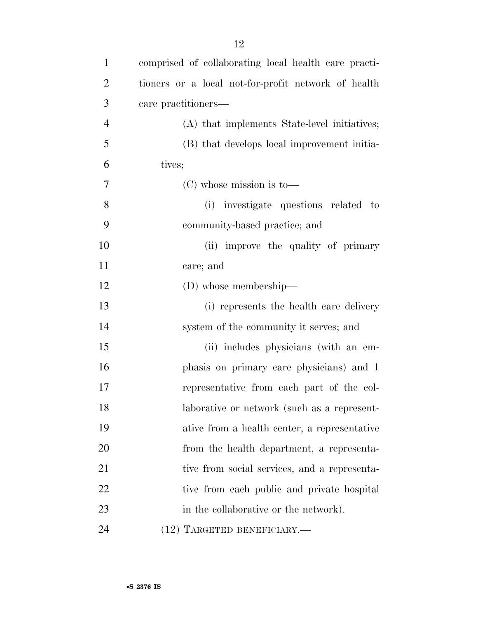| 1              | comprised of collaborating local health care practi- |
|----------------|------------------------------------------------------|
| $\overline{2}$ | tioners or a local not-for-profit network of health  |
| 3              | care practitioners-                                  |
| $\overline{4}$ | (A) that implements State-level initiatives;         |
| 5              | (B) that develops local improvement initia-          |
| 6              | tives;                                               |
| $\tau$         | $(C)$ whose mission is to-                           |
| 8              | (i) investigate questions related to                 |
| 9              | community-based practice; and                        |
| 10             | (ii) improve the quality of primary                  |
| 11             | care; and                                            |
| 12             | $(D)$ whose membership—                              |
| 13             | (i) represents the health care delivery              |
| 14             | system of the community it serves; and               |
| 15             | (ii) includes physicians (with an em-                |
| 16             | phasis on primary care physicians) and 1             |
| 17             | representative from each part of the col-            |
| 18             | laborative or network (such as a represent-          |
| 19             | ative from a health center, a representative         |
| 20             | from the health department, a representa-            |
| 21             | tive from social services, and a representa-         |
| 22             | tive from each public and private hospital           |
| 23             | in the collaborative or the network).                |
| 24             | (12) TARGETED BENEFICIARY.-                          |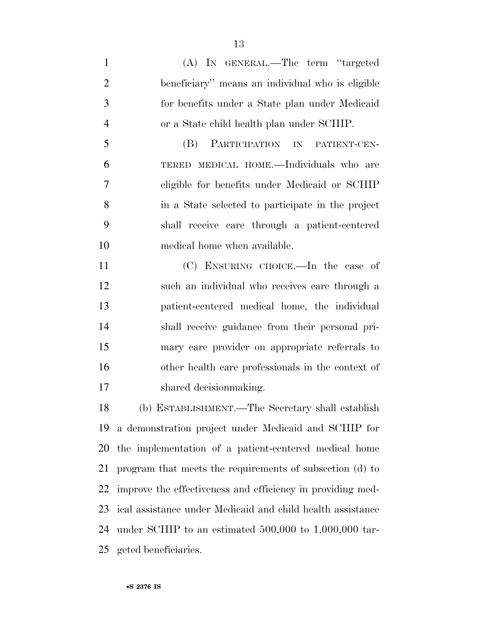(A) IN GENERAL.—The term ''targeted beneficiary'' means an individual who is eligible for benefits under a State plan under Medicaid or a State child health plan under SCHIP. (B) PARTICIPATION IN PATIENT-CEN- TERED MEDICAL HOME.—Individuals who are eligible for benefits under Medicaid or SCHIP in a State selected to participate in the project shall receive care through a patient-centered medical home when available. (C) ENSURING CHOICE.—In the case of

 such an individual who receives care through a patient-centered medical home, the individual shall receive guidance from their personal pri- mary care provider on appropriate referrals to other health care professionals in the context of shared decisionmaking.

 (b) ESTABLISHMENT.—The Secretary shall establish a demonstration project under Medicaid and SCHIP for the implementation of a patient-centered medical home program that meets the requirements of subsection (d) to improve the effectiveness and efficiency in providing med- ical assistance under Medicaid and child health assistance under SCHIP to an estimated 500,000 to 1,000,000 tar-geted beneficiaries.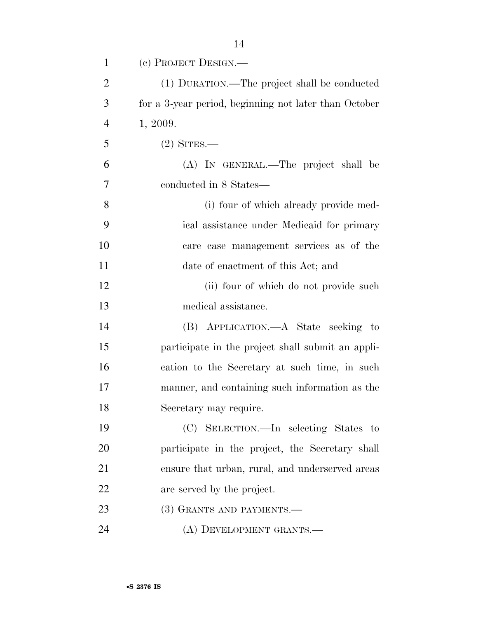| $\mathbf{1}$   | (c) PROJECT DESIGN.—                                  |
|----------------|-------------------------------------------------------|
| $\overline{2}$ | (1) DURATION.—The project shall be conducted          |
| 3              | for a 3-year period, beginning not later than October |
| $\overline{4}$ | 1, 2009.                                              |
| 5              | $(2)$ SITES.—                                         |
| 6              | (A) IN GENERAL.—The project shall be                  |
| 7              | conducted in 8 States—                                |
| 8              | (i) four of which already provide med-                |
| 9              | ical assistance under Medicaid for primary            |
| 10             | care case management services as of the               |
| 11             | date of enactment of this Act; and                    |
| 12             | (ii) four of which do not provide such                |
| 13             | medical assistance.                                   |
| 14             | (B) APPLICATION.—A State seeking to                   |
| 15             | participate in the project shall submit an appli-     |
| 16             | cation to the Secretary at such time, in such         |
| 17             | manner, and containing such information as the        |
| 18             | Secretary may require.                                |
| 19             | (C) SELECTION.—In selecting States to                 |
| 20             | participate in the project, the Secretary shall       |
| 21             | ensure that urban, rural, and underserved areas       |
| 22             | are served by the project.                            |
| 23             | (3) GRANTS AND PAYMENTS.—                             |
| 24             | (A) DEVELOPMENT GRANTS.—                              |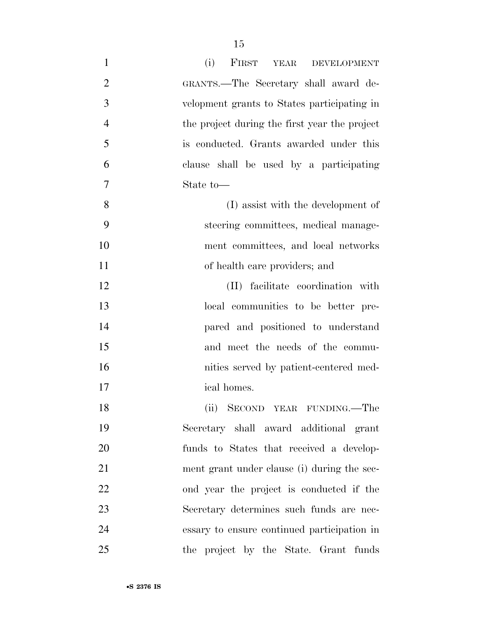| $\mathbf{1}$   | (i)<br>FIRST YEAR<br><b>DEVELOPMENT</b>       |
|----------------|-----------------------------------------------|
| $\overline{2}$ | GRANTS.—The Secretary shall award de-         |
| 3              | velopment grants to States participating in   |
| $\overline{4}$ | the project during the first year the project |
| 5              | is conducted. Grants awarded under this       |
| 6              | clause shall be used by a participating       |
| 7              | State to-                                     |
| 8              | (I) assist with the development of            |
| 9              | steering committees, medical manage-          |
| 10             | ment committees, and local networks           |
| 11             | of health care providers; and                 |
| 12             | (II) facilitate coordination with             |
| 13             | local communities to be better pre-           |
| 14             | pared and positioned to understand            |
| 15             | and meet the needs of the commu-              |
| 16             | nities served by patient-centered med-        |
| 17             | ical homes.                                   |
| 18             | (ii) SECOND YEAR FUNDING.—The                 |
| 19             | Secretary shall award additional grant        |
| 20             | funds to States that received a develop-      |
| 21             | ment grant under clause (i) during the sec-   |
| 22             | ond year the project is conducted if the      |
| 23             | Secretary determines such funds are nec-      |
| 24             | essary to ensure continued participation in   |
| 25             | the project by the State. Grant funds         |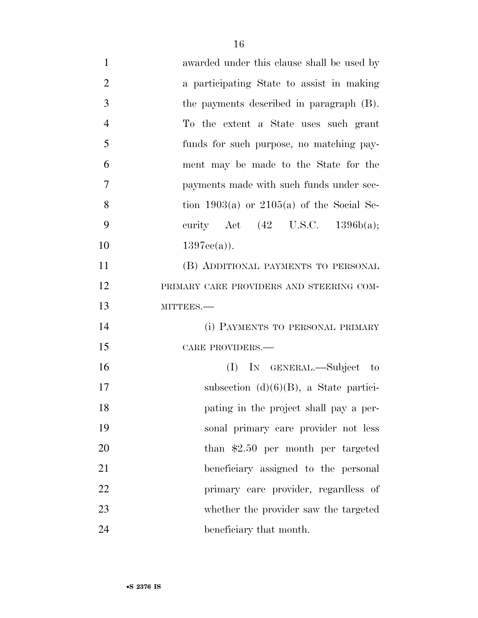| $\mathbf{1}$   | awarded under this clause shall be used by   |
|----------------|----------------------------------------------|
| $\overline{2}$ | a participating State to assist in making    |
| 3              | the payments described in paragraph (B).     |
| $\overline{4}$ | To the extent a State uses such grant        |
| 5              | funds for such purpose, no matching pay-     |
| 6              | ment may be made to the State for the        |
| 7              | payments made with such funds under sec-     |
| 8              | tion 1903(a) or $2105(a)$ of the Social Se-  |
| 9              | curity Act $(42 \text{ U.S.C. } 1396b(a))$ ; |
| 10             | $1397ee(a)$ ).                               |
| 11             | (B) ADDITIONAL PAYMENTS TO PERSONAL          |
| 12             | PRIMARY CARE PROVIDERS AND STEERING COM-     |
| 13             | MITTEES.-                                    |
| 14             | (i) PAYMENTS TO PERSONAL PRIMARY             |
| 15             | CARE PROVIDERS.-                             |
| 16             | (I) In GENERAL.—Subject to                   |
| 17             | subsection $(d)(6)(B)$ , a State partici-    |
| 18             | pating in the project shall pay a per-       |
| 19             | sonal primary care provider not less         |
| 20             | than $$2.50$ per month per targeted          |
| 21             | beneficiary assigned to the personal         |
| 22             | primary care provider, regardless of         |
| 23             | whether the provider saw the targeted        |
| 24             | beneficiary that month.                      |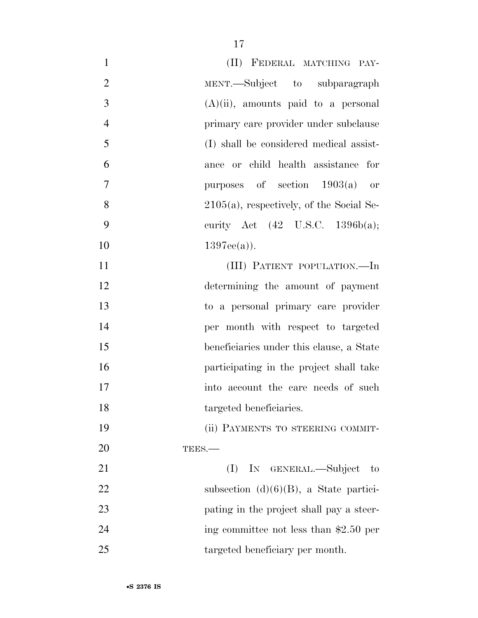| $\mathbf{1}$   | (II) FEDERAL MATCHING PAY-                   |
|----------------|----------------------------------------------|
| $\overline{2}$ | MENT.—Subject to subparagraph                |
| 3              | $(A)(ii)$ , amounts paid to a personal       |
| $\overline{4}$ | primary care provider under subclause        |
| 5              | (I) shall be considered medical assist-      |
| 6              | ance or child health assistance for          |
| $\overline{7}$ | purposes of section $1903(a)$ or             |
| 8              | $2105(a)$ , respectively, of the Social Se-  |
| 9              | curity Act $(42 \text{ U.S.C. } 1396b(a))$ ; |
| 10             | $1397ee(a)$ .                                |
| 11             | (III) PATIENT POPULATION.—In                 |
| 12             | determining the amount of payment            |
| 13             | to a personal primary care provider          |
| 14             | per month with respect to targeted           |
| 15             | beneficiaries under this clause, a State     |
| 16             | participating in the project shall take      |
| 17             | into account the care needs of such          |
| 18             | targeted beneficiaries.                      |
| 19             | (ii) PAYMENTS TO STEERING COMMIT-            |
| <b>20</b>      | TEES.-                                       |
| 21             | (I) IN GENERAL.—Subject<br>to                |
| 22             | subsection $(d)(6)(B)$ , a State partici-    |
| 23             | pating in the project shall pay a steer-     |
| 24             | ing committee not less than \$2.50 per       |
| 25             | targeted beneficiary per month.              |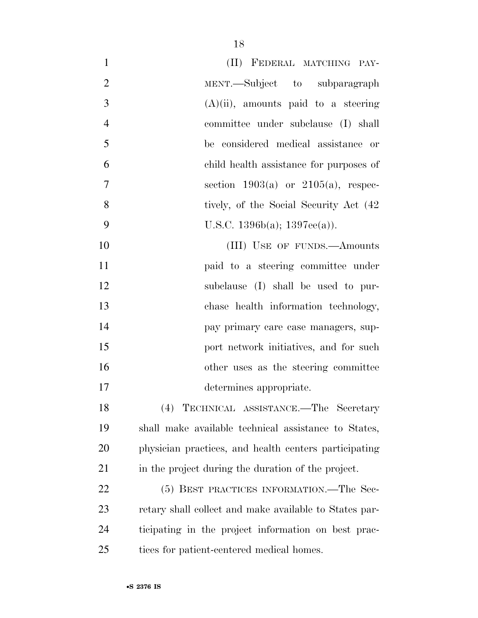| $\mathbf{1}$   | (II) FEDERAL MATCHING PAY-                             |
|----------------|--------------------------------------------------------|
| $\overline{2}$ | MENT.—Subject to subparagraph                          |
| 3              | $(A)(ii)$ , amounts paid to a steering                 |
| $\overline{4}$ | committee under subclause (I) shall                    |
| 5              | be considered medical assistance or                    |
| 6              | child health assistance for purposes of                |
| 7              | section $1903(a)$ or $2105(a)$ , respec-               |
| 8              | tively, of the Social Security Act (42)                |
| 9              | U.S.C. $1396b(a)$ ; $1397ee(a)$ ).                     |
| 10             | (III) USE OF FUNDS.—Amounts                            |
| 11             | paid to a steering committee under                     |
| 12             | subclause (I) shall be used to pur-                    |
| 13             | chase health information technology,                   |
| 14             | pay primary care case managers, sup-                   |
| 15             | port network initiatives, and for such                 |
| 16             | other uses as the steering committee                   |
| 17             | determines appropriate.                                |
| 18             | (4) TECHNICAL ASSISTANCE.—The Secretary                |
| 19             | shall make available technical assistance to States,   |
| 20             | physician practices, and health centers participating  |
| 21             | in the project during the duration of the project.     |
| 22             | (5) BEST PRACTICES INFORMATION.—The Sec-               |
| 23             | retary shall collect and make available to States par- |
| 24             | ticipating in the project information on best prac-    |
| 25             | tices for patient-centered medical homes.              |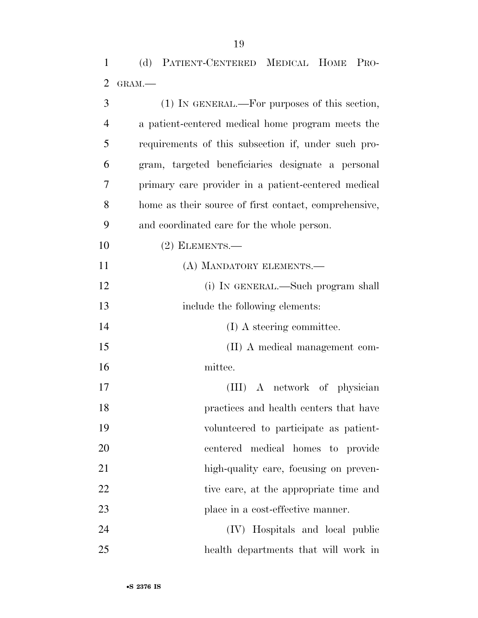(d) PATIENT-CENTERED MEDICAL HOME PRO-GRAM.—

| 3              | (1) IN GENERAL.—For purposes of this section,         |
|----------------|-------------------------------------------------------|
| $\overline{4}$ | a patient-centered medical home program meets the     |
| 5              | requirements of this subsection if, under such pro-   |
| 6              | gram, targeted beneficiaries designate a personal     |
| 7              | primary care provider in a patient-centered medical   |
| 8              | home as their source of first contact, comprehensive, |
| 9              | and coordinated care for the whole person.            |
| 10             | $(2)$ ELEMENTS.—                                      |
| 11             | (A) MANDATORY ELEMENTS.—                              |
| 12             | (i) IN GENERAL.—Such program shall                    |
| 13             | include the following elements:                       |
| 14             | (I) A steering committee.                             |
| 15             | (II) A medical management com-                        |
| 16             | mittee.                                               |
| 17             | (III) A network of physician                          |
| 18             | practices and health centers that have                |
| 19             | volunteered to participate as patient-                |
| 20             | centered medical homes to provide                     |
| 21             | high-quality care, focusing on preven-                |
| 22             | tive care, at the appropriate time and                |
| 23             | place in a cost-effective manner.                     |
| 24             | (IV) Hospitals and local public                       |
| 25             | health departments that will work in                  |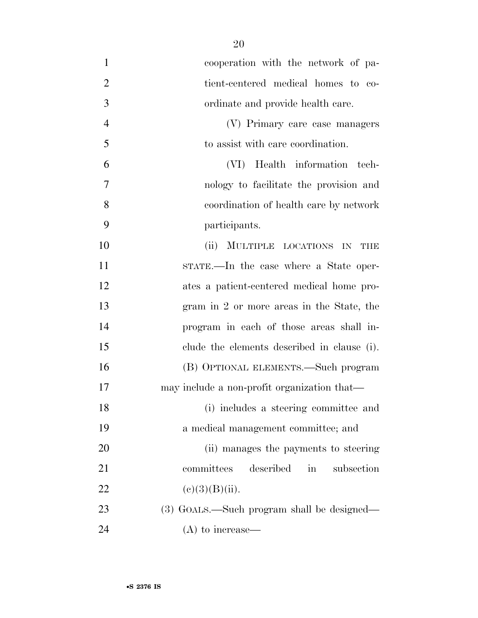| $\mathbf{1}$   | cooperation with the network of pa-         |
|----------------|---------------------------------------------|
| $\overline{2}$ | tient-centered medical homes to co-         |
| 3              | ordinate and provide health care.           |
| $\overline{4}$ | (V) Primary care case managers              |
| 5              | to assist with care coordination.           |
| 6              | Health information tech-<br>(VI)            |
| 7              | nology to facilitate the provision and      |
| 8              | coordination of health care by network      |
| 9              | participants.                               |
| 10             | MULTIPLE LOCATIONS IN<br>(ii)<br>THE        |
| 11             | STATE.—In the case where a State oper-      |
| 12             | ates a patient-centered medical home pro-   |
| 13             | gram in 2 or more areas in the State, the   |
| 14             | program in each of those areas shall in-    |
| 15             | clude the elements described in clause (i). |
| 16             | (B) OPTIONAL ELEMENTS.—Such program         |
| 17             | may include a non-profit organization that— |
| 18             | (i) includes a steering committee and       |
| 19             | a medical management committee; and         |
| 20             | (ii) manages the payments to steering       |
| 21             | committees<br>described<br>subsection<br>in |
| 22             | (e)(3)(B)(ii).                              |
| 23             | (3) GOALS.—Such program shall be designed—  |
| 24             | $(A)$ to increase—                          |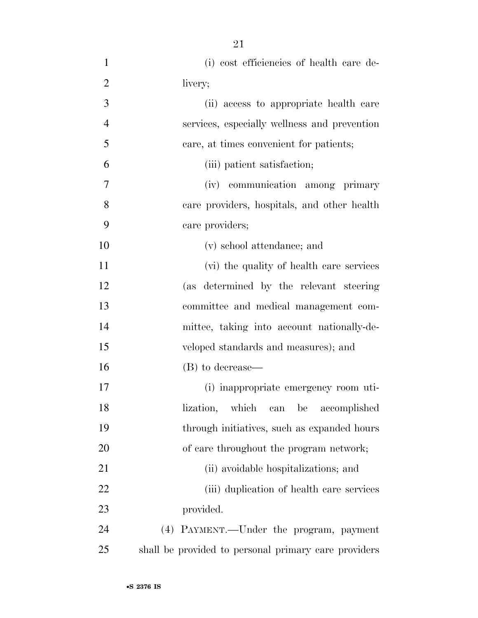(i) cost efficiencies of health care de- livery; (ii) access to appropriate health care services, especially wellness and prevention care, at times convenient for patients; (iii) patient satisfaction; (iv) communication among primary care providers, hospitals, and other health care providers; (v) school attendance; and (vi) the quality of health care services (as determined by the relevant steering committee and medical management com- mittee, taking into account nationally-de- veloped standards and measures); and (B) to decrease— (i) inappropriate emergency room uti- lization, which can be accomplished through initiatives, such as expanded hours 20 of care throughout the program network; 21 (ii) avoidable hospitalizations; and (iii) duplication of health care services provided. (4) PAYMENT.—Under the program, payment shall be provided to personal primary care providers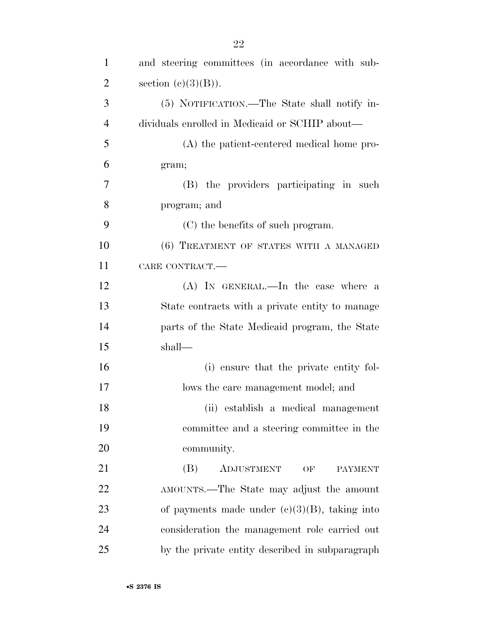| $\mathbf{1}$   | and steering committees (in accordance with sub- |
|----------------|--------------------------------------------------|
| $\overline{2}$ | section $(c)(3)(B)$ ).                           |
| 3              | (5) NOTIFICATION.—The State shall notify in-     |
| $\overline{4}$ | dividuals enrolled in Medicaid or SCHIP about—   |
| 5              | (A) the patient-centered medical home pro-       |
| 6              | gram;                                            |
| 7              | (B) the providers participating in such          |
| 8              | program; and                                     |
| 9              | (C) the benefits of such program.                |
| 10             | (6) TREATMENT OF STATES WITH A MANAGED           |
| 11             | CARE CONTRACT.                                   |
| 12             | (A) IN GENERAL.—In the case where a              |
| 13             | State contracts with a private entity to manage  |
| 14             | parts of the State Medicaid program, the State   |
| 15             | shall—                                           |
| 16             | (i) ensure that the private entity fol-          |
| 17             | lows the care management model; and              |
| 18             | (ii) establish a medical management              |
| 19             | committee and a steering committee in the        |
| 20             | community.                                       |
| 21             | ADJUSTMENT<br>(B)<br>OF<br><b>PAYMENT</b>        |
| 22             | AMOUNTS.—The State may adjust the amount         |
| 23             | of payments made under $(c)(3)(B)$ , taking into |
| 24             | consideration the management role carried out    |
| 25             | by the private entity described in subparagraph  |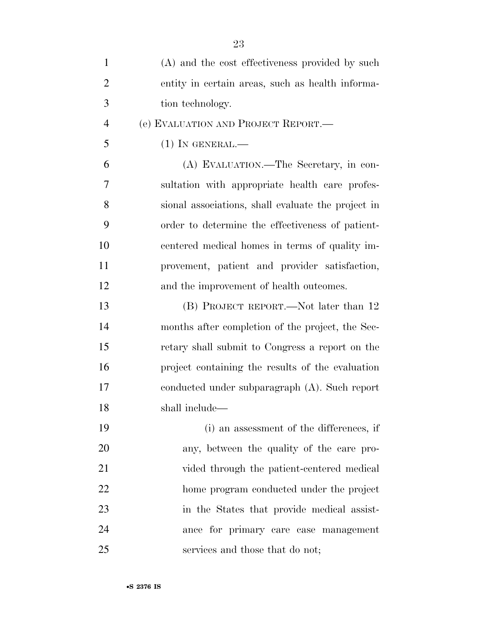| $\mathbf{1}$   | (A) and the cost effectiveness provided by such    |
|----------------|----------------------------------------------------|
| $\overline{2}$ | entity in certain areas, such as health informa-   |
| 3              | tion technology.                                   |
| $\overline{4}$ | (e) EVALUATION AND PROJECT REPORT.                 |
| 5              | $(1)$ In GENERAL.—                                 |
| 6              | (A) EVALUATION.—The Secretary, in con-             |
| 7              | sultation with appropriate health care profes-     |
| 8              | sional associations, shall evaluate the project in |
| 9              | order to determine the effectiveness of patient-   |
| 10             | centered medical homes in terms of quality im-     |
| 11             | provement, patient and provider satisfaction,      |
| 12             | and the improvement of health outcomes.            |
| 13             | (B) PROJECT REPORT.—Not later than 12              |
| 14             | months after completion of the project, the Sec-   |
| 15             | retary shall submit to Congress a report on the    |
| 16             | project containing the results of the evaluation   |
| 17             | conducted under subparagraph $(A)$ . Such report   |
| 18             | shall include—                                     |
| 19             | (i) an assessment of the differences, if           |
| 20             | any, between the quality of the care pro-          |
| 21             | vided through the patient-centered medical         |
| 22             | home program conducted under the project           |
| 23             | in the States that provide medical assist-         |
| 24             | ance for primary care case management              |
| 25             | services and those that do not;                    |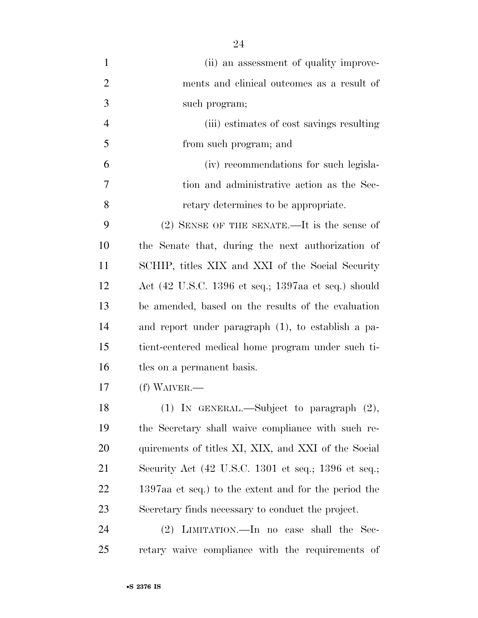| $\mathbf{1}$   | (ii) an assessment of quality improve-               |
|----------------|------------------------------------------------------|
| $\overline{2}$ | ments and clinical outcomes as a result of           |
| 3              | such program;                                        |
| $\overline{4}$ | (iii) estimates of cost savings resulting            |
| 5              | from such program; and                               |
| 6              | (iv) recommendations for such legisla-               |
| 7              | tion and administrative action as the Sec-           |
| 8              | retary determines to be appropriate.                 |
| 9              | $(2)$ SENSE OF THE SENATE.—It is the sense of        |
| 10             | the Senate that, during the next authorization of    |
| 11             | SCHIP, titles XIX and XXI of the Social Security     |
| 12             | Act (42 U.S.C. 1396 et seq.; 1397aa et seq.) should  |
| 13             | be amended, based on the results of the evaluation   |
| 14             | and report under paragraph (1), to establish a pa-   |
| 15             | tient-centered medical home program under such ti-   |
| 16             | tles on a permanent basis.                           |
| 17             | $(f)$ WAIVER.—                                       |
| 18             | $(1)$ In GENERAL.—Subject to paragraph $(2)$ ,       |
| 19             | the Secretary shall waive compliance with such re-   |
| 20             | quirements of titles XI, XIX, and XXI of the Social  |
| 21             | Security Act (42 U.S.C. 1301 et seq.; 1396 et seq.;  |
| 22             | 1397aa et seq.) to the extent and for the period the |
| 23             | Secretary finds necessary to conduct the project.    |
| 24             | (2) LIMITATION.—In no case shall the Sec-            |
| 25             | retary waive compliance with the requirements of     |